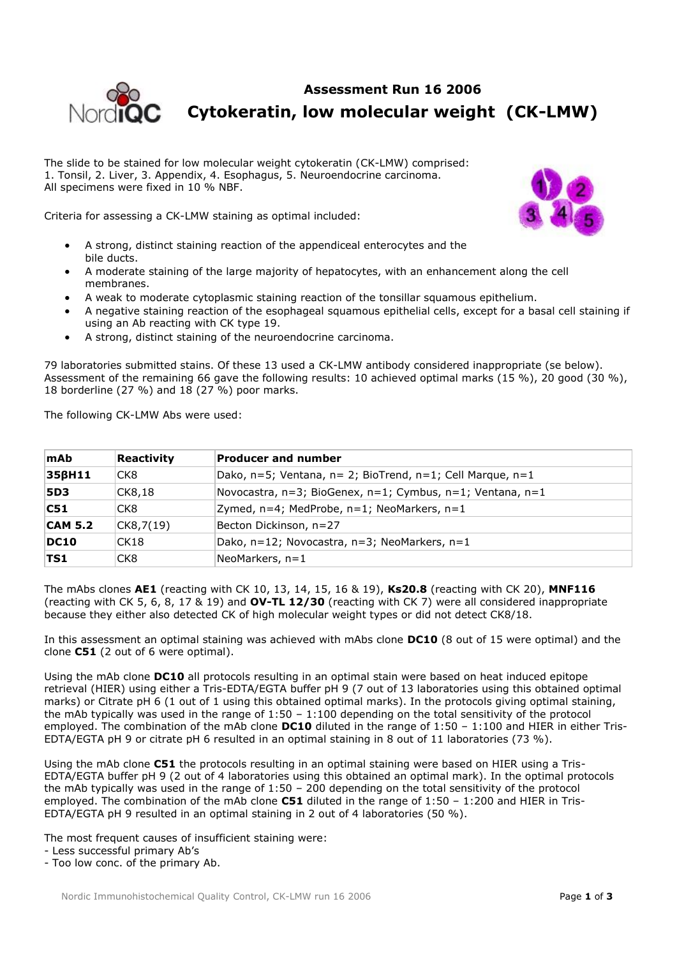## **Assessment Run 16 2006 Cytokeratin, low molecular weight (CK-LMW)**

The slide to be stained for low molecular weight cytokeratin (CK-LMW) comprised: 1. Tonsil, 2. Liver, 3. Appendix, 4. Esophagus, 5. Neuroendocrine carcinoma. All specimens were fixed in 10 % NBF.

Criteria for assessing a CK-LMW staining as optimal included:

- A strong, distinct staining reaction of the appendiceal enterocytes and the bile ducts.
- A moderate staining of the large majority of hepatocytes, with an enhancement along the cell membranes.
- A weak to moderate cytoplasmic staining reaction of the tonsillar squamous epithelium.
- A negative staining reaction of the esophageal squamous epithelial cells, except for a basal cell staining if using an Ab reacting with CK type 19.
- A strong, distinct staining of the neuroendocrine carcinoma.

79 laboratories submitted stains. Of these 13 used a CK-LMW antibody considered inappropriate (se below). Assessment of the remaining 66 gave the following results: 10 achieved optimal marks (15 %), 20 good (30 %), 18 borderline (27 %) and 18 (27 %) poor marks.

The following CK-LMW Abs were used:

| <b>mAb</b>     | Reactivity      | <b>Producer and number</b>                                           |
|----------------|-----------------|----------------------------------------------------------------------|
| 356H11         | CK <sub>8</sub> | Dako, $n=5$ ; Ventana, $n=2$ ; BioTrend, $n=1$ ; Cell Marque, $n=1$  |
| <b>5D3</b>     | CK8,18          | Novocastra, $n=3$ ; BioGenex, $n=1$ ; Cymbus, $n=1$ ; Ventana, $n=1$ |
| C51            | CK <sub>8</sub> | Zymed, n=4; MedProbe, n=1; NeoMarkers, n=1                           |
| <b>CAM 5.2</b> | CK8,7(19)       | Becton Dickinson, n=27                                               |
| DC10           | CK18            | Dako, n=12; Novocastra, n=3; NeoMarkers, n=1                         |
| <b>TS1</b>     | CK <sub>8</sub> | NeoMarkers, n=1                                                      |

The mAbs clones **AE1** (reacting with CK 10, 13, 14, 15, 16 & 19), **Ks20.8** (reacting with CK 20), **MNF116** (reacting with CK 5, 6, 8, 17 & 19) and **OV-TL 12/30** (reacting with CK 7) were all considered inappropriate because they either also detected CK of high molecular weight types or did not detect CK8/18.

In this assessment an optimal staining was achieved with mAbs clone **DC10** (8 out of 15 were optimal) and the clone **C51** (2 out of 6 were optimal).

Using the mAb clone **DC10** all protocols resulting in an optimal stain were based on heat induced epitope retrieval (HIER) using either a Tris-EDTA/EGTA buffer pH 9 (7 out of 13 laboratories using this obtained optimal marks) or Citrate pH 6 (1 out of 1 using this obtained optimal marks). In the protocols giving optimal staining, the mAb typically was used in the range of 1:50 – 1:100 depending on the total sensitivity of the protocol employed. The combination of the mAb clone **DC10** diluted in the range of 1:50 – 1:100 and HIER in either Tris-EDTA/EGTA pH 9 or citrate pH 6 resulted in an optimal staining in 8 out of 11 laboratories (73 %).

Using the mAb clone **C51** the protocols resulting in an optimal staining were based on HIER using a Tris-EDTA/EGTA buffer pH 9 (2 out of 4 laboratories using this obtained an optimal mark). In the optimal protocols the mAb typically was used in the range of 1:50 – 200 depending on the total sensitivity of the protocol employed. The combination of the mAb clone **C51** diluted in the range of 1:50 – 1:200 and HIER in Tris-EDTA/EGTA pH 9 resulted in an optimal staining in 2 out of 4 laboratories (50 %).

The most frequent causes of insufficient staining were:

- Too low conc. of the primary Ab.



<sup>-</sup> Less successful primary Ab's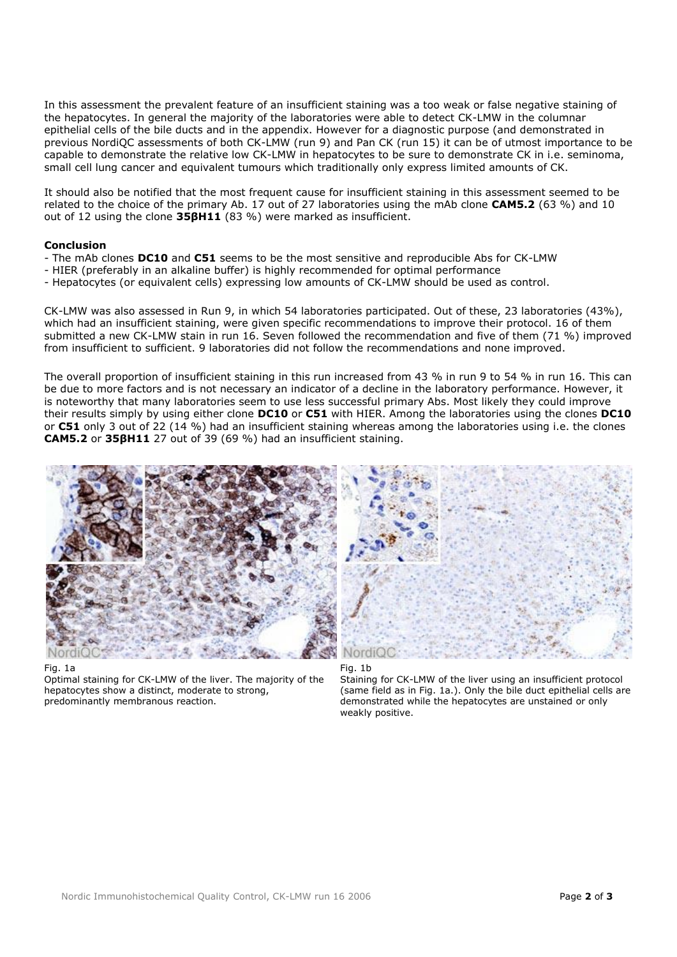In this assessment the prevalent feature of an insufficient staining was a too weak or false negative staining of the hepatocytes. In general the majority of the laboratories were able to detect CK-LMW in the columnar epithelial cells of the bile ducts and in the appendix. However for a diagnostic purpose (and demonstrated in previous NordiQC assessments of both CK-LMW (run 9) and Pan CK (run 15) it can be of utmost importance to be capable to demonstrate the relative low CK-LMW in hepatocytes to be sure to demonstrate CK in i.e. seminoma, small cell lung cancer and equivalent tumours which traditionally only express limited amounts of CK.

It should also be notified that the most frequent cause for insufficient staining in this assessment seemed to be related to the choice of the primary Ab. 17 out of 27 laboratories using the mAb clone **CAM5.2** (63 %) and 10 out of 12 using the clone **35βH11** (83 %) were marked as insufficient.

## **Conclusion**

- The mAb clones **DC10** and **C51** seems to be the most sensitive and reproducible Abs for CK-LMW
- HIER (preferably in an alkaline buffer) is highly recommended for optimal performance
- Hepatocytes (or equivalent cells) expressing low amounts of CK-LMW should be used as control.

CK-LMW was also assessed in Run 9, in which 54 laboratories participated. Out of these, 23 laboratories (43%), which had an insufficient staining, were given specific recommendations to improve their protocol. 16 of them submitted a new CK-LMW stain in run 16. Seven followed the recommendation and five of them (71 %) improved from insufficient to sufficient. 9 laboratories did not follow the recommendations and none improved.

The overall proportion of insufficient staining in this run increased from 43 % in run 9 to 54 % in run 16. This can be due to more factors and is not necessary an indicator of a decline in the laboratory performance. However, it is noteworthy that many laboratories seem to use less successful primary Abs. Most likely they could improve their results simply by using either clone **DC10** or **C51** with HIER. Among the laboratories using the clones **DC10** or **C51** only 3 out of 22 (14 %) had an insufficient staining whereas among the laboratories using i.e. the clones **CAM5.2** or **35βH11** 27 out of 39 (69 %) had an insufficient staining.



Fig. 1a

Optimal staining for CK-LMW of the liver. The majority of the hepatocytes show a distinct, moderate to strong, predominantly membranous reaction.





Staining for CK-LMW of the liver using an insufficient protocol (same field as in Fig. 1a.). Only the bile duct epithelial cells are demonstrated while the hepatocytes are unstained or only weakly positive.